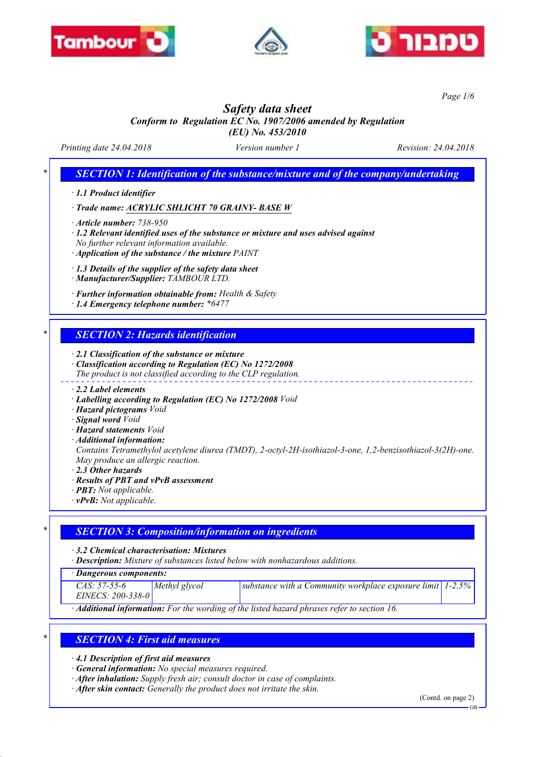





*Page 1/6*

# *Safety data sheet*

*Conform to Regulation EC No. 1907/2006 amended by Regulation*

*(EU) No. 453/2010*

*Printing date 24.04.2018 Version number 1 Revision: 24.04.2018*

*SECTION 1: Identification of the substance/mixture and of the company/undertaking* 

*· 1.1 Product identifier*

*· Trade name: ACRYLIC SHLICHT 70 GRAINY- BASE W*

*· Article number: 738-950*

*· 1.2 Relevant identified uses of the substance or mixture and uses advised against No further relevant information available.*

*· Application of the substance / the mixture PAINT*

*· 1.3 Details of the supplier of the safety data sheet*

*· Manufacturer/Supplier: TAMBOUR LTD.*

*· Further information obtainable from: Health & Safety*

*· 1.4 Emergency telephone number: \*6477*

### *\* SECTION 2: Hazards identification*

*· 2.1 Classification of the substance or mixture*

*· Classification according to Regulation (EC) No 1272/2008*

*The product is not classified according to the CLP regulation.*

*· 2.2 Label elements*

- *· Labelling according to Regulation (EC) No 1272/2008 Void*
- *· Hazard pictograms Void*
- *· Signal word Void*
- *· Hazard statements Void*
- *· Additional information:*

*Contains Tetramethylol acetylene diurea (TMDT), 2-octyl-2H-isothiazol-3-one, 1,2-benzisothiazol-3(2H)-one. May produce an allergic reaction.*

- *· 2.3 Other hazards*
- *· Results of PBT and vPvB assessment*
- *· PBT: Not applicable.*
- *· vPvB: Not applicable.*

### *\* SECTION 3: Composition/information on ingredients*

*· 3.2 Chemical characterisation: Mixtures*

*· Description: Mixture of substances listed below with nonhazardous additions.*

*· Dangerous components:*

| $\sim$ . The contract of the contract of the contract of the contract of the contract of the contract of the contract of the contract of the contract of the contract of the contract of the contract of the contract of the co |               |                                                                 |  |  |
|---------------------------------------------------------------------------------------------------------------------------------------------------------------------------------------------------------------------------------|---------------|-----------------------------------------------------------------|--|--|
| $CAS: 57-55-6$                                                                                                                                                                                                                  | Methyl glycol | substance with a Community workplace exposure limit $ 1-2.5\% $ |  |  |
| $EINECS: 200-338-0$                                                                                                                                                                                                             |               |                                                                 |  |  |
| Additional informations For the wording of the listed hereard physese wefer to section 16                                                                                                                                       |               |                                                                 |  |  |

*· Additional information: For the wording of the listed hazard phrases refer to section 16.*

### *\* SECTION 4: First aid measures*

*· 4.1 Description of first aid measures*

- *· General information: No special measures required.*
- *· After inhalation: Supply fresh air; consult doctor in case of complaints.*
- *· After skin contact: Generally the product does not irritate the skin.*

(Contd. on page 2)

GB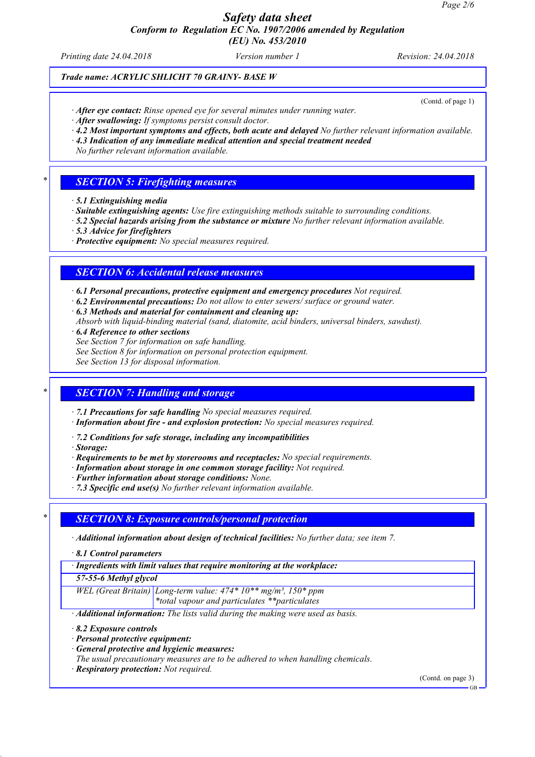### *Safety data sheet Conform to Regulation EC No. 1907/2006 amended by Regulation (EU) No. 453/2010*

*Printing date 24.04.2018 Version number 1 Revision: 24.04.2018*

### *Trade name: ACRYLIC SHLICHT 70 GRAINY- BASE W*

(Contd. of page 1)

*· After eye contact: Rinse opened eye for several minutes under running water.*

*· After swallowing: If symptoms persist consult doctor.*

*· 4.2 Most important symptoms and effects, both acute and delayed No further relevant information available.*

*· 4.3 Indication of any immediate medical attention and special treatment needed*

*No further relevant information available.*

### *\* SECTION 5: Firefighting measures*

*· 5.1 Extinguishing media*

*· Suitable extinguishing agents: Use fire extinguishing methods suitable to surrounding conditions.*

*· 5.2 Special hazards arising from the substance or mixture No further relevant information available.*

*· 5.3 Advice for firefighters*

*· Protective equipment: No special measures required.*

### *SECTION 6: Accidental release measures*

*· 6.1 Personal precautions, protective equipment and emergency procedures Not required.*

*· 6.2 Environmental precautions: Do not allow to enter sewers/ surface or ground water.*

*· 6.3 Methods and material for containment and cleaning up:*

*Absorb with liquid-binding material (sand, diatomite, acid binders, universal binders, sawdust).*

*· 6.4 Reference to other sections*

*See Section 7 for information on safe handling.*

*See Section 8 for information on personal protection equipment.*

*See Section 13 for disposal information.*

#### *\* SECTION 7: Handling and storage*

*· 7.1 Precautions for safe handling No special measures required.*

*· Information about fire - and explosion protection: No special measures required.*

*· 7.2 Conditions for safe storage, including any incompatibilities*

*· Storage:*

*· Requirements to be met by storerooms and receptacles: No special requirements.*

*· Information about storage in one common storage facility: Not required.*

*· Further information about storage conditions: None.*

*· 7.3 Specific end use(s) No further relevant information available.*

#### *\* SECTION 8: Exposure controls/personal protection*

*· Additional information about design of technical facilities: No further data; see item 7.*

*· 8.1 Control parameters*

*· Ingredients with limit values that require monitoring at the workplace:*

*57-55-6 Methyl glycol*

*WEL (Great Britain) Long-term value: 474\* 10\*\* mg/m³, 150\* ppm*

*\*total vapour and particulates \*\*particulates*

*· Additional information: The lists valid during the making were used as basis.*

*· 8.2 Exposure controls*

*· Personal protective equipment:*

*· General protective and hygienic measures:*

*The usual precautionary measures are to be adhered to when handling chemicals.*

*· Respiratory protection: Not required.*

(Contd. on page 3)

GB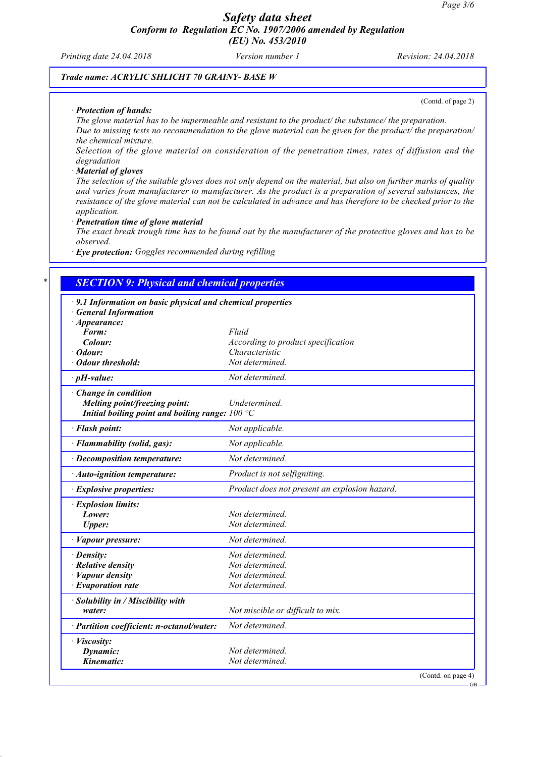*Printing date 24.04.2018 Version number 1 Revision: 24.04.2018*

(Contd. of page 2)

GB

### *Trade name: ACRYLIC SHLICHT 70 GRAINY- BASE W*

#### *· Protection of hands:*

*The glove material has to be impermeable and resistant to the product/ the substance/ the preparation. Due to missing tests no recommendation to the glove material can be given for the product/ the preparation/ the chemical mixture.*

*Selection of the glove material on consideration of the penetration times, rates of diffusion and the degradation*

#### *· Material of gloves*

*The selection of the suitable gloves does not only depend on the material, but also on further marks of quality and varies from manufacturer to manufacturer. As the product is a preparation of several substances, the resistance of the glove material can not be calculated in advance and has therefore to be checked prior to the application.*

*· Penetration time of glove material*

*The exact break trough time has to be found out by the manufacturer of the protective gloves and has to be observed.*

*· Eye protection: Goggles recommended during refilling*

| · 9.1 Information on basic physical and chemical properties |                                               |
|-------------------------------------------------------------|-----------------------------------------------|
| <b>General Information</b>                                  |                                               |
| $\cdot$ Appearance:<br>Form:                                | Fluid                                         |
| Colour:                                                     | According to product specification            |
| $\cdot$ Odour:                                              | Characteristic                                |
| · Odour threshold:                                          | Not determined.                               |
| $\cdot$ pH-value:                                           | Not determined.                               |
| · Change in condition                                       |                                               |
| Melting point/freezing point:                               | Undetermined.                                 |
| Initial boiling point and boiling range: $100 °C$           |                                               |
| · Flash point:                                              | Not applicable.                               |
| · Flammability (solid, gas):                                | Not applicable.                               |
| · Decomposition temperature:                                | Not determined.                               |
| · Auto-ignition temperature:                                | Product is not selfigniting.                  |
| · Explosive properties:                                     | Product does not present an explosion hazard. |
| · Explosion limits:                                         |                                               |
| Lower:                                                      | Not determined.                               |
| <b>Upper:</b>                                               | Not determined.                               |
| · Vapour pressure:                                          | Not determined.                               |
| · Density:                                                  | Not determined.                               |
| $\cdot$ Relative density                                    | Not determined.                               |
| <b>Vapour density</b>                                       | Not determined.                               |
| $\cdot$ Evaporation rate                                    | Not determined.                               |
| · Solubility in / Miscibility with                          |                                               |
| water:                                                      | Not miscible or difficult to mix.             |
| · Partition coefficient: n-octanol/water:                   | Not determined.                               |
| · Viscosity:                                                |                                               |
| Dynamic:                                                    | Not determined.                               |
| Kinematic:                                                  | Not determined.                               |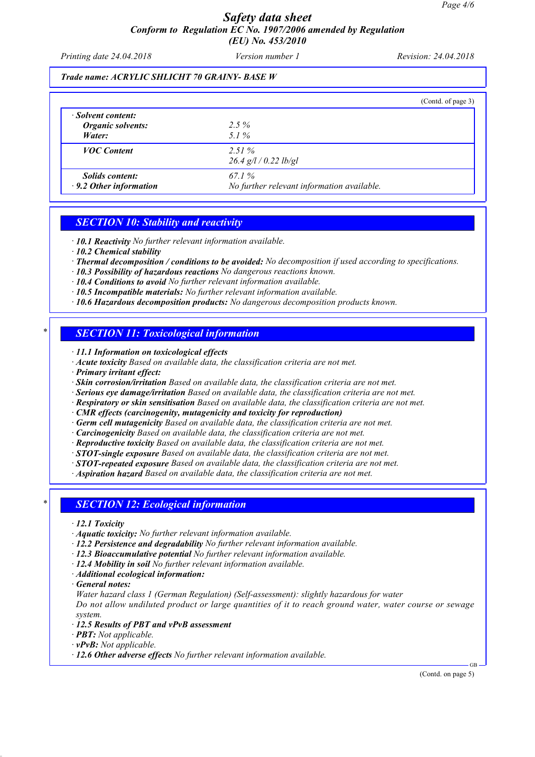### *Safety data sheet Conform to Regulation EC No. 1907/2006 amended by Regulation (EU) No. 453/2010*

*Printing date 24.04.2018 Version number 1 Revision: 24.04.2018*

#### *Trade name: ACRYLIC SHLICHT 70 GRAINY- BASE W*

|                                                         |                                                     | (Contd. of page 3) |
|---------------------------------------------------------|-----------------------------------------------------|--------------------|
| · Solvent content:<br>Organic solvents:<br>Water:       | $2.5\%$<br>5.1%                                     |                    |
| <b>VOC</b> Content                                      | 2.51%<br>$26.4$ g/l / 0.22 lb/gl                    |                    |
| <i>Solids content:</i><br>$\cdot$ 9.2 Other information | 67.1%<br>No further relevant information available. |                    |

#### *SECTION 10: Stability and reactivity*

*· 10.1 Reactivity No further relevant information available.*

*· 10.2 Chemical stability*

- *· Thermal decomposition / conditions to be avoided: No decomposition if used according to specifications.*
- *· 10.3 Possibility of hazardous reactions No dangerous reactions known.*
- *· 10.4 Conditions to avoid No further relevant information available.*
- *· 10.5 Incompatible materials: No further relevant information available.*
- *· 10.6 Hazardous decomposition products: No dangerous decomposition products known.*

#### *\* SECTION 11: Toxicological information*

*· 11.1 Information on toxicological effects*

- *· Acute toxicity Based on available data, the classification criteria are not met.*
- *· Primary irritant effect:*
- *· Skin corrosion/irritation Based on available data, the classification criteria are not met.*
- *· Serious eye damage/irritation Based on available data, the classification criteria are not met.*
- *· Respiratory or skin sensitisation Based on available data, the classification criteria are not met.*
- *· CMR effects (carcinogenity, mutagenicity and toxicity for reproduction)*
- *· Germ cell mutagenicity Based on available data, the classification criteria are not met.*
- *· Carcinogenicity Based on available data, the classification criteria are not met.*
- *· Reproductive toxicity Based on available data, the classification criteria are not met.*
- *· STOT-single exposure Based on available data, the classification criteria are not met.*
- *· STOT-repeated exposure Based on available data, the classification criteria are not met.*

*· Aspiration hazard Based on available data, the classification criteria are not met.*

#### *\* SECTION 12: Ecological information*

- *· 12.1 Toxicity*
- *· Aquatic toxicity: No further relevant information available.*
- *· 12.2 Persistence and degradability No further relevant information available.*
- *· 12.3 Bioaccumulative potential No further relevant information available.*
- *· 12.4 Mobility in soil No further relevant information available.*
- *· Additional ecological information:*
- *· General notes:*
- *Water hazard class 1 (German Regulation) (Self-assessment): slightly hazardous for water*

*Do not allow undiluted product or large quantities of it to reach ground water, water course or sewage system.*

- *· 12.5 Results of PBT and vPvB assessment*
- *· PBT: Not applicable.*
- *· vPvB: Not applicable.*
- *· 12.6 Other adverse effects No further relevant information available.*

(Contd. on page 5)

GB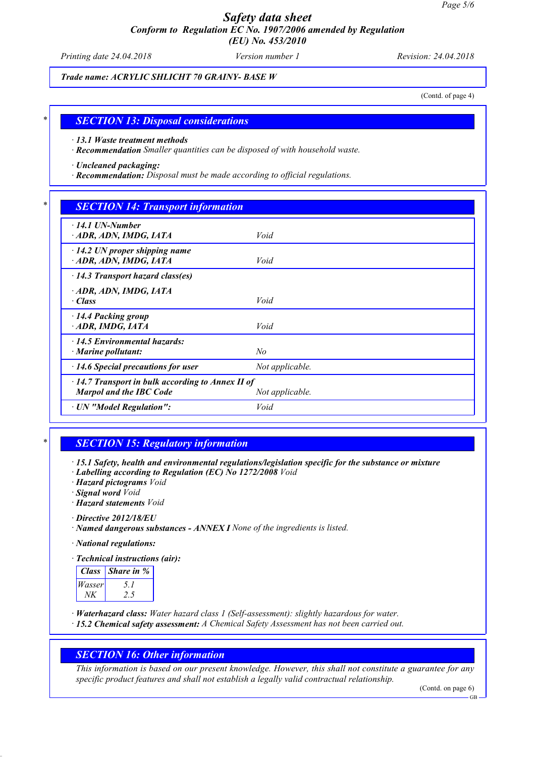### *Safety data sheet Conform to Regulation EC No. 1907/2006 amended by Regulation (EU) No. 453/2010*

*Printing date 24.04.2018 Version number 1 Revision: 24.04.2018*

*Trade name: ACRYLIC SHLICHT 70 GRAINY- BASE W*

(Contd. of page 4)

#### *\* SECTION 13: Disposal considerations*

*· 13.1 Waste treatment methods*

*· Recommendation Smaller quantities can be disposed of with household waste.*

*· Uncleaned packaging:*

*· Recommendation: Disposal must be made according to official regulations.*

### *\* SECTION 14: Transport information*

| $\cdot$ 14.1 UN-Number<br>ADR, ADN, IMDG, IATA                                            | Void            |  |
|-------------------------------------------------------------------------------------------|-----------------|--|
| $\cdot$ 14.2 UN proper shipping name<br>ADR, ADN, IMDG, IATA                              | Void            |  |
| $\cdot$ 14.3 Transport hazard class(es)                                                   |                 |  |
| ADR, ADN, IMDG, IATA<br>$\cdot$ Class                                                     | Void            |  |
| $\cdot$ 14.4 Packing group<br>$\cdot$ ADR, IMDG, IATA                                     | Void            |  |
| $\cdot$ 14.5 Environmental hazards:<br>$\cdot$ Marine pollutant:                          | No              |  |
| $\cdot$ 14.6 Special precautions for user                                                 | Not applicable. |  |
| $\cdot$ 14.7 Transport in bulk according to Annex II of<br><b>Marpol and the IBC Code</b> | Not applicable. |  |
| · UN "Model Regulation":                                                                  | Void            |  |

### *\* SECTION 15: Regulatory information*

*· 15.1 Safety, health and environmental regulations/legislation specific for the substance or mixture*

*· Labelling according to Regulation (EC) No 1272/2008 Void*

*· Hazard pictograms Void*

*· Signal word Void*

*· Hazard statements Void*

*· Directive 2012/18/EU*

*· Named dangerous substances - ANNEX I None of the ingredients is listed.*

*· National regulations:*

*· Technical instructions (air):*

| Class  | <i>Share in %</i> |
|--------|-------------------|
| Wasser |                   |
|        |                   |

*· Waterhazard class: Water hazard class 1 (Self-assessment): slightly hazardous for water.*

*· 15.2 Chemical safety assessment: A Chemical Safety Assessment has not been carried out.*

### *SECTION 16: Other information*

*This information is based on our present knowledge. However, this shall not constitute a guarantee for any specific product features and shall not establish a legally valid contractual relationship.*

(Contd. on page 6)

GB